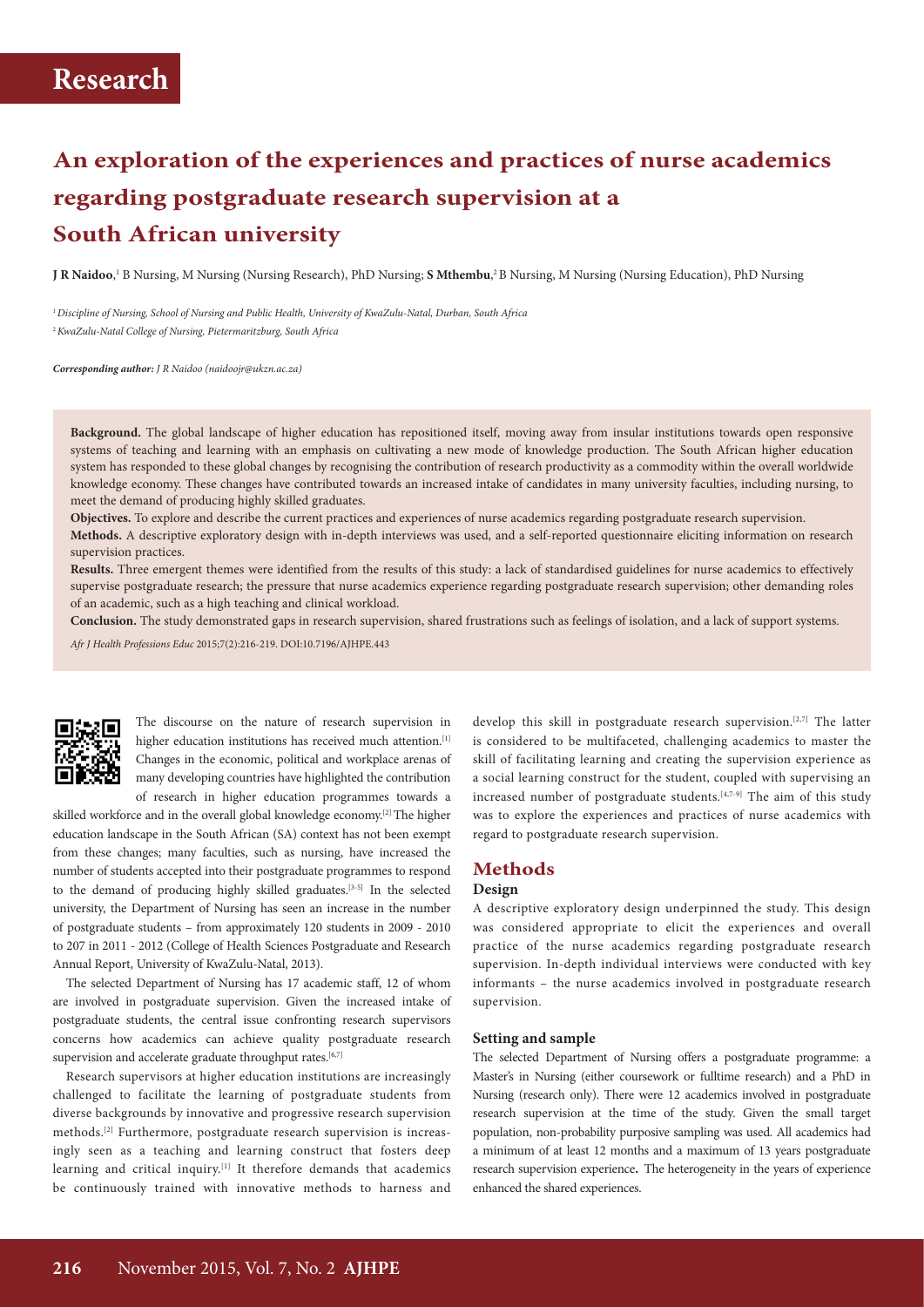# **An exploration of the experiences and practices of nurse academics regarding postgraduate research supervision at a South African university**

**J R Naidoo**,' B Nursing, M Nursing (Nursing Research), PhD Nursing; **S Mthembu**,<sup>2</sup> B Nursing, M Nursing (Nursing Education), PhD Nursing

<sup>1</sup>*Discipline of Nursing, School of Nursing and Public Health, University of KwaZulu-Natal, Durban, South Africa* <sup>2</sup>*KwaZulu-Natal College of Nursing, Pietermaritzburg, South Africa* 

*Corresponding author: J R Naidoo (naidoojr@ukzn.ac.za)*

**Background.** The global landscape of higher education has repositioned itself, moving away from insular institutions towards open responsive systems of teaching and learning with an emphasis on cultivating a new mode of knowledge production. The South African higher education system has responded to these global changes by recognising the contribution of research productivity as a commodity within the overall worldwide knowledge economy. These changes have contributed towards an increased intake of candidates in many university faculties, including nursing, to meet the demand of producing highly skilled graduates.

**Objectives.** To explore and describe the current practices and experiences of nurse academics regarding postgraduate research supervision. **Methods.** A descriptive exploratory design with in-depth interviews was used, and a self-reported questionnaire eliciting information on research

supervision practices.

**Results.** Three emergent themes were identified from the results of this study: a lack of standardised guidelines for nurse academics to effectively supervise postgraduate research; the pressure that nurse academics experience regarding postgraduate research supervision; other demanding roles of an academic, such as a high teaching and clinical workload.

**Conclusion.** The study demonstrated gaps in research supervision, shared frustrations such as feelings of isolation, and a lack of support systems.

*Afr J Health Professions Educ* 2015;7(2):216-219. DOI:10.7196/AJHPE.443



The discourse on the nature of research supervision in higher education institutions has received much attention.<sup>[1]</sup> Changes in the economic, political and workplace arenas of many developing countries have highlighted the contribution of research in higher education programmes towards a

skilled workforce and in the overall global knowledge economy.[2] The higher education landscape in the South African (SA) context has not been exempt from these changes; many faculties, such as nursing, have increased the number of students accepted into their postgraduate programmes to respond to the demand of producing highly skilled graduates.[3-5] In the selected university, the Department of Nursing has seen an increase in the number of postgraduate students – from approximately 120 students in 2009 - 2010 to 207 in 2011 - 2012 (College of Health Sciences Postgraduate and Research Annual Report, University of KwaZulu-Natal, 2013).

The selected Department of Nursing has 17 academic staff, 12 of whom are involved in postgraduate supervision. Given the increased intake of postgraduate students, the central issue confronting research supervisors concerns how academics can achieve quality postgraduate research supervision and accelerate graduate throughput rates.<sup>[6,7]</sup>

Research supervisors at higher education institutions are increasingly challenged to facilitate the learning of postgraduate students from diverse backgrounds by innovative and progressive research supervision methods.[2] Furthermore, postgraduate research supervision is increasingly seen as a teaching and learning construct that fosters deep learning and critical inquiry.[1] It therefore demands that academics be continuously trained with innovative methods to harness and

develop this skill in postgraduate research supervision.<sup>[2,7]</sup> The latter is considered to be multifaceted, challenging academics to master the skill of facilitating learning and creating the supervision experience as a social learning construct for the student, coupled with supervising an increased number of postgraduate students.[4,7-9] The aim of this study was to explore the experiences and practices of nurse academics with regard to postgraduate research supervision.

## **Methods**

## **Design**

A descriptive exploratory design underpinned the study. This design was considered appropriate to elicit the experiences and overall practice of the nurse academics regarding postgraduate research supervision. In-depth individual interviews were conducted with key informants – the nurse academics involved in postgraduate research supervision.

### **Setting and sample**

The selected Department of Nursing offers a postgraduate programme: a Master's in Nursing (either coursework or fulltime research) and a PhD in Nursing (research only). There were 12 academics involved in postgraduate research supervision at the time of the study. Given the small target population, non-probability purposive sampling was used. All academics had a minimum of at least 12 months and a maximum of 13 years postgraduate research supervision experience. The heterogeneity in the years of experience enhanced the shared experiences.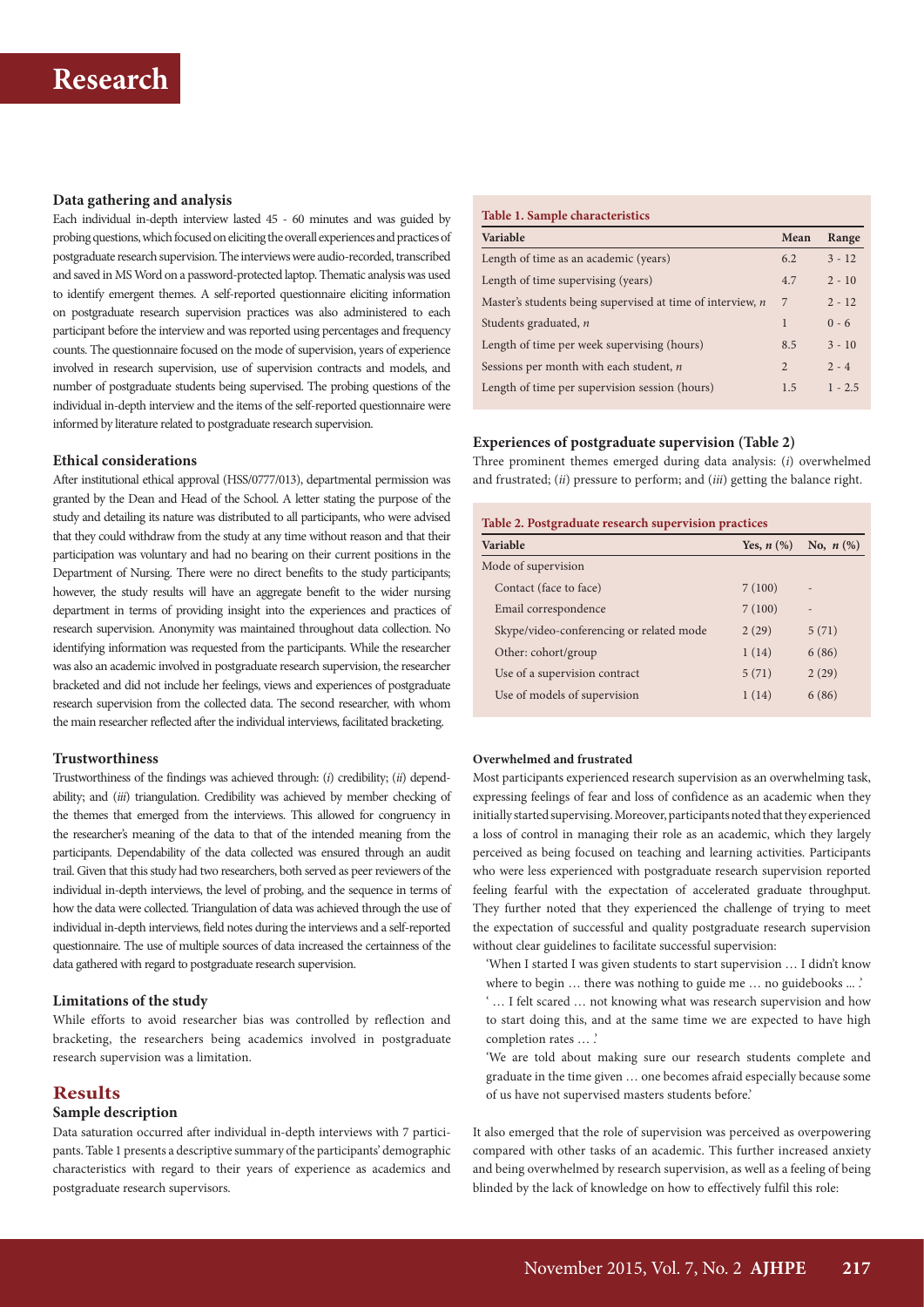## **Data gathering and analysis**

Each individual in-depth interview lasted 45 - 60 minutes and was guided by probing questions, which focused on eliciting the overall experiences and practices of postgraduate research supervision. The interviews were audio-recorded, transcribed and saved in MS Word on a password-protected laptop. Thematic analysis was used to identify emergent themes. A self-reported questionnaire eliciting information on postgraduate research supervision practices was also administered to each participant before the interview and was reported using percentages and frequency counts. The questionnaire focused on the mode of supervision, years of experience involved in research supervision, use of supervision contracts and models, and number of postgraduate students being supervised. The probing questions of the individual in-depth interview and the items of the self-reported questionnaire were informed by literature related to postgraduate research supervision.

### **Ethical considerations**

After institutional ethical approval (HSS/0777/013), departmental permission was granted by the Dean and Head of the School. A letter stating the purpose of the study and detailing its nature was distributed to all participants, who were advised that they could withdraw from the study at any time without reason and that their participation was voluntary and had no bearing on their current positions in the Department of Nursing. There were no direct benefits to the study participants; however, the study results will have an aggregate benefit to the wider nursing department in terms of providing insight into the experiences and practices of research supervision. Anonymity was maintained throughout data collection. No identifying information was requested from the participants. While the researcher was also an academic involved in postgraduate research supervision, the researcher bracketed and did not include her feelings, views and experiences of postgraduate research supervision from the collected data. The second researcher, with whom the main researcher reflected after the individual interviews, facilitated bracketing.

### **Trustworthiness**

Trustworthiness of the findings was achieved through: (*i*) credibility; (*ii*) dependability; and (*iii*) triangulation. Credibility was achieved by member checking of the themes that emerged from the interviews. This allowed for congruency in the researcher's meaning of the data to that of the intended meaning from the participants. Dependability of the data collected was ensured through an audit trail. Given that this study had two researchers, both served as peer reviewers of the individual in-depth interviews, the level of probing, and the sequence in terms of how the data were collected. Triangulation of data was achieved through the use of individual in-depth interviews, field notes during the interviews and a self-reported questionnaire. The use of multiple sources of data increased the certainness of the data gathered with regard to postgraduate research supervision.

### **Limitations of the study**

While efforts to avoid researcher bias was controlled by reflection and bracketing, the researchers being academics involved in postgraduate research supervision was a limitation.

## **Results**

## **Sample description**

Data saturation occurred after individual in-depth interviews with 7 participants. Table 1 presents a descriptive summary of the participants' demographic characteristics with regard to their years of experience as academics and postgraduate research supervisors.

## **Table 1. Sample characteristics**

| Variable                                                   | Mean           | Range     |
|------------------------------------------------------------|----------------|-----------|
| Length of time as an academic (years)                      | 6.2            | $3 - 12$  |
| Length of time supervising (years)                         | 4.7            | $2 - 10$  |
| Master's students being supervised at time of interview, n | 7              | $2 - 12$  |
| Students graduated, n                                      | 1              | $0 - 6$   |
| Length of time per week supervising (hours)                | 8.5            | $3 - 10$  |
| Sessions per month with each student, n                    | $\mathfrak{D}$ | $2 - 4$   |
| Length of time per supervision session (hours)             | 1.5            | $1 - 2.5$ |

## **Experiences of postgraduate supervision (Table 2)**

Three prominent themes emerged during data analysis: (*i*) overwhelmed and frustrated; (*ii*) pressure to perform; and (*iii*) getting the balance right.

| Variable                                 | Yes, $n$ $(\%)$ | No, $n$ (%) |  |
|------------------------------------------|-----------------|-------------|--|
| Mode of supervision                      |                 |             |  |
| Contact (face to face)                   | 7(100)          |             |  |
| Email correspondence                     | 7(100)          |             |  |
| Skype/video-conferencing or related mode | 2(29)           | 5(71)       |  |
| Other: cohort/group                      | 1(14)           | 6(86)       |  |
| Use of a supervision contract            | 5(71)           | 2(29)       |  |
| Use of models of supervision             | 1(14)           | 6(86)       |  |

### **Overwhelmed and frustrated**

Most participants experienced research supervision as an overwhelming task, expressing feelings of fear and loss of confidence as an academic when they initially started supervising. Moreover, participants noted that they experienced a loss of control in managing their role as an academic, which they largely perceived as being focused on teaching and learning activities. Participants who were less experienced with postgraduate research supervision reported feeling fearful with the expectation of accelerated graduate throughput. They further noted that they experienced the challenge of trying to meet the expectation of successful and quality postgraduate research supervision without clear guidelines to facilitate successful supervision:

'When I started I was given students to start supervision … I didn't know where to begin ... there was nothing to guide me ... no guidebooks ... .'

' … I felt scared … not knowing what was research supervision and how to start doing this, and at the same time we are expected to have high completion rates … .'

'We are told about making sure our research students complete and graduate in the time given … one becomes afraid especially because some of us have not supervised masters students before.'

It also emerged that the role of supervision was perceived as overpowering compared with other tasks of an academic. This further increased anxiety and being overwhelmed by research supervision, as well as a feeling of being blinded by the lack of knowledge on how to effectively fulfil this role: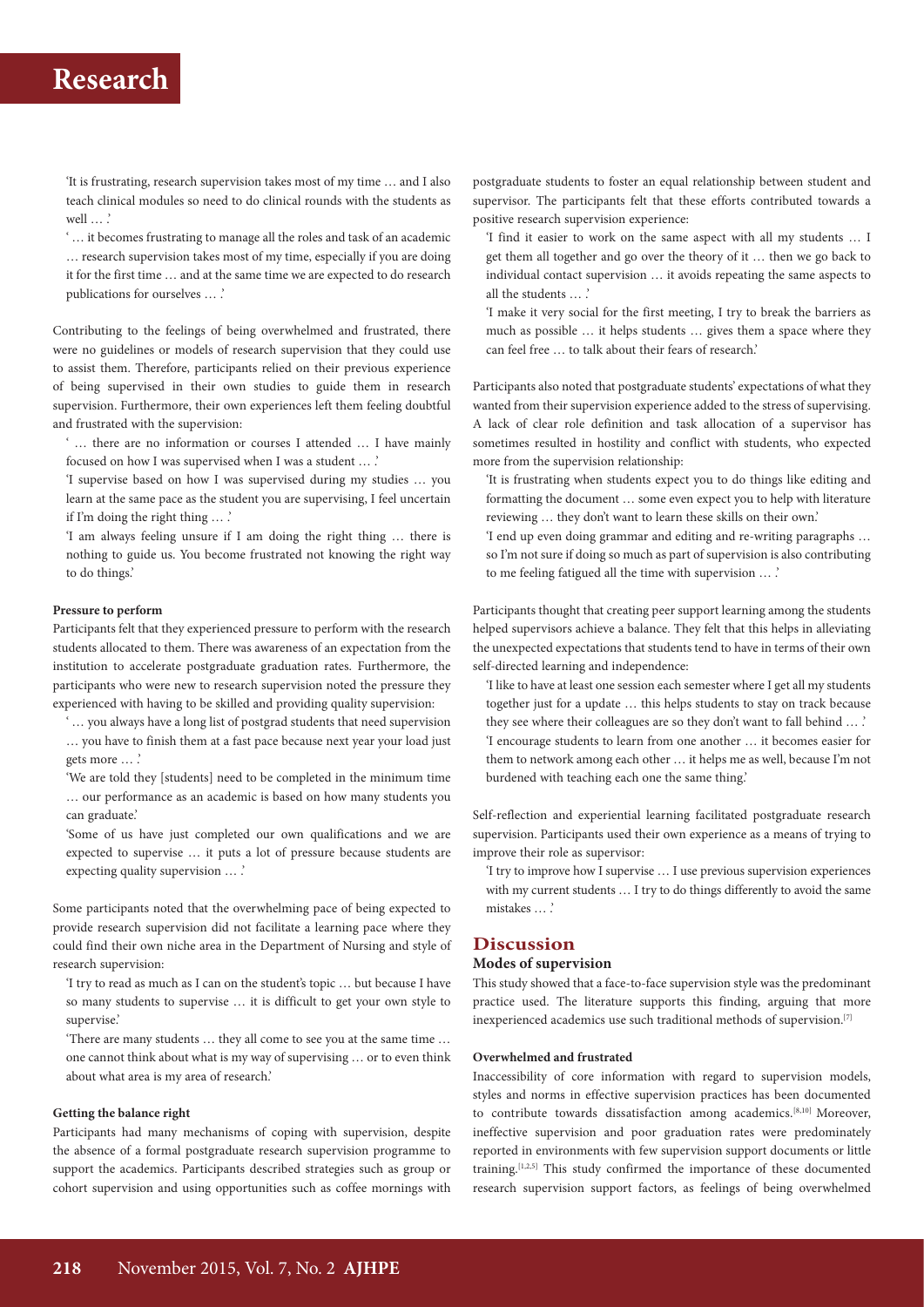## **Research**

'It is frustrating, research supervision takes most of my time … and I also teach clinical modules so need to do clinical rounds with the students as well ... .<sup>'</sup>

' … it becomes frustrating to manage all the roles and task of an academic … research supervision takes most of my time, especially if you are doing it for the first time … and at the same time we are expected to do research publications for ourselves … .'

Contributing to the feelings of being overwhelmed and frustrated, there were no guidelines or models of research supervision that they could use to assist them. Therefore, participants relied on their previous experience of being supervised in their own studies to guide them in research supervision. Furthermore, their own experiences left them feeling doubtful and frustrated with the supervision:

' … there are no information or courses I attended … I have mainly focused on how I was supervised when I was a student … .'

'I supervise based on how I was supervised during my studies … you learn at the same pace as the student you are supervising, I feel uncertain if I'm doing the right thing … .'

'I am always feeling unsure if I am doing the right thing … there is nothing to guide us. You become frustrated not knowing the right way to do things.'

### **Pressure to perform**

Participants felt that they experienced pressure to perform with the research students allocated to them. There was awareness of an expectation from the institution to accelerate postgraduate graduation rates. Furthermore, the participants who were new to research supervision noted the pressure they experienced with having to be skilled and providing quality supervision:

' … you always have a long list of postgrad students that need supervision … you have to finish them at a fast pace because next year your load just gets more … .'

'We are told they [students] need to be completed in the minimum time … our performance as an academic is based on how many students you can graduate.'

'Some of us have just completed our own qualifications and we are expected to supervise … it puts a lot of pressure because students are expecting quality supervision … .'

Some participants noted that the overwhelming pace of being expected to provide research supervision did not facilitate a learning pace where they could find their own niche area in the Department of Nursing and style of research supervision:

'I try to read as much as I can on the student's topic … but because I have so many students to supervise … it is difficult to get your own style to supervise.'

'There are many students … they all come to see you at the same time … one cannot think about what is my way of supervising … or to even think about what area is my area of research.'

### **Getting the balance right**

Participants had many mechanisms of coping with supervision, despite the absence of a formal postgraduate research supervision programme to support the academics. Participants described strategies such as group or cohort supervision and using opportunities such as coffee mornings with postgraduate students to foster an equal relationship between student and supervisor. The participants felt that these efforts contributed towards a positive research supervision experience:

'I find it easier to work on the same aspect with all my students … I get them all together and go over the theory of it … then we go back to individual contact supervision … it avoids repeating the same aspects to all the students … .'

'I make it very social for the first meeting, I try to break the barriers as much as possible … it helps students … gives them a space where they can feel free … to talk about their fears of research.'

Participants also noted that postgraduate students' expectations of what they wanted from their supervision experience added to the stress of supervising. A lack of clear role definition and task allocation of a supervisor has sometimes resulted in hostility and conflict with students, who expected more from the supervision relationship:

'It is frustrating when students expect you to do things like editing and formatting the document … some even expect you to help with literature reviewing … they don't want to learn these skills on their own.'

'I end up even doing grammar and editing and re-writing paragraphs … so I'm not sure if doing so much as part of supervision is also contributing to me feeling fatigued all the time with supervision … .'

Participants thought that creating peer support learning among the students helped supervisors achieve a balance. They felt that this helps in alleviating the unexpected expectations that students tend to have in terms of their own self-directed learning and independence:

'I like to have at least one session each semester where I get all my students together just for a update … this helps students to stay on track because they see where their colleagues are so they don't want to fall behind ... .' 'I encourage students to learn from one another … it becomes easier for them to network among each other … it helps me as well, because I'm not burdened with teaching each one the same thing.'

Self-reflection and experiential learning facilitated postgraduate research supervision. Participants used their own experience as a means of trying to improve their role as supervisor:

'I try to improve how I supervise … I use previous supervision experiences with my current students … I try to do things differently to avoid the same mistakes … .'

## **Discussion**

## **Modes of supervision**

This study showed that a face-to-face supervision style was the predominant practice used. The literature supports this finding, arguing that more inexperienced academics use such traditional methods of supervision.[7]

### **Overwhelmed and frustrated**

Inaccessibility of core information with regard to supervision models, styles and norms in effective supervision practices has been documented to contribute towards dissatisfaction among academics.<sup>[8,10]</sup> Moreover, ineffective supervision and poor graduation rates were predominately reported in environments with few supervision support documents or little training.[1,2,5] This study confirmed the importance of these documented research supervision support factors, as feelings of being overwhelmed